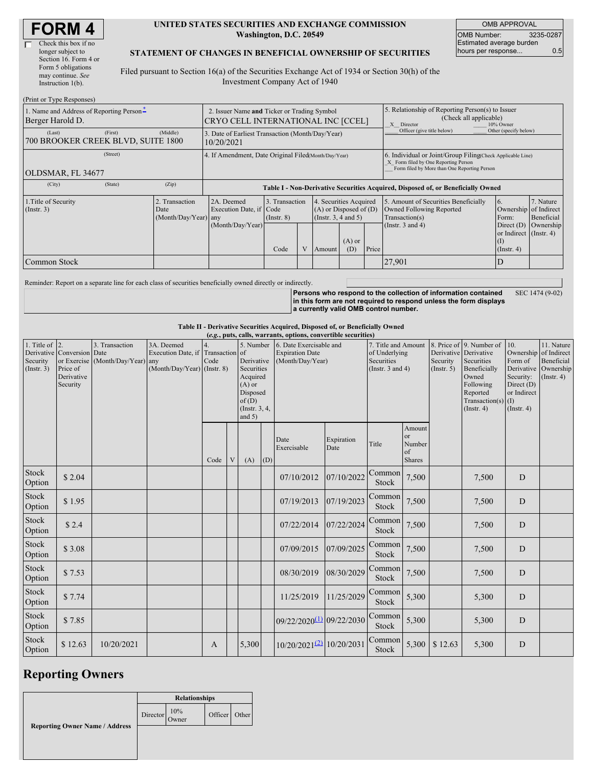| <b>FORM4</b> |
|--------------|
|--------------|

(Print or Type Responses)

#### **UNITED STATES SECURITIES AND EXCHANGE COMMISSION Washington, D.C. 20549**

OMB APPROVAL OMB Number: 3235-0287 Estimated average burden hours per response... 0.5

#### **STATEMENT OF CHANGES IN BENEFICIAL OWNERSHIP OF SECURITIES**

Filed pursuant to Section 16(a) of the Securities Exchange Act of 1934 or Section 30(h) of the Investment Company Act of 1940

| $\ldots$ $\ldots$ $\ldots$<br>1. Name and Address of Reporting Person-<br>Berger Harold D. |                                       | 2. Issuer Name and Ticker or Trading Symbol<br>CRYO CELL INTERNATIONAL INC [CCEL] |                                   |  |                                                                              |                 | 5. Relationship of Reporting Person(s) to Issuer<br>(Check all applicable)<br>10% Owner<br>X Director |                                                                                                                                                    |                                                                                       |                         |  |
|--------------------------------------------------------------------------------------------|---------------------------------------|-----------------------------------------------------------------------------------|-----------------------------------|--|------------------------------------------------------------------------------|-----------------|-------------------------------------------------------------------------------------------------------|----------------------------------------------------------------------------------------------------------------------------------------------------|---------------------------------------------------------------------------------------|-------------------------|--|
| (Middle)<br>(First)<br>(Last)<br>700 BROOKER CREEK BLVD, SUITE 1800                        |                                       | 3. Date of Earliest Transaction (Month/Day/Year)<br>10/20/2021                    |                                   |  |                                                                              |                 |                                                                                                       | Officer (give title below)                                                                                                                         | Other (specify below)                                                                 |                         |  |
| (Street)<br>OLDSMAR, FL 34677                                                              |                                       | 4. If Amendment, Date Original Filed(Month/Day/Year)                              |                                   |  |                                                                              |                 |                                                                                                       | 6. Individual or Joint/Group Filing(Check Applicable Line)<br>X Form filed by One Reporting Person<br>Form filed by More than One Reporting Person |                                                                                       |                         |  |
| (City)<br>(State)<br>(Zip)                                                                 |                                       | Table I - Non-Derivative Securities Acquired, Disposed of, or Beneficially Owned  |                                   |  |                                                                              |                 |                                                                                                       |                                                                                                                                                    |                                                                                       |                         |  |
| 1. Title of Security<br>$($ Instr. 3 $)$<br>Date                                           | . Transaction<br>(Month/Day/Year) any | 2A. Deemed<br>Execution Date, if Code                                             | 3. Transaction<br>$($ Instr. $8)$ |  | 4. Securities Acquired<br>$(A)$ or Disposed of $(D)$<br>(Insert. 3, 4 and 5) |                 |                                                                                                       | 5. Amount of Securities Beneficially<br>Owned Following Reported<br>Transaction(s)                                                                 | 6.<br>Ownership of Indirect<br>Form:                                                  | 7. Nature<br>Beneficial |  |
|                                                                                            |                                       | (Month/Day/Year)                                                                  | Code                              |  | Amount                                                                       | $(A)$ or<br>(D) | Price                                                                                                 | (Instr. $3$ and $4$ )                                                                                                                              | Direct $(D)$<br>or Indirect (Instr. 4)<br>$\left( \Gamma \right)$<br>$($ Instr. 4 $)$ | Ownership               |  |
| Common Stock                                                                               |                                       |                                                                                   |                                   |  |                                                                              |                 |                                                                                                       | 27,901                                                                                                                                             |                                                                                       |                         |  |

Reminder: Report on a separate line for each class of securities beneficially owned directly or indirectly.

**Persons who respond to the collection of information contained in this form are not required to respond unless the form displays a currently valid OMB control number.** SEC 1474 (9-02)

**Table II - Derivative Securities Acquired, Disposed of, or Beneficially Owned**

|                                              | (e.g., puts, calls, warrants, options, convertible securities)                  |                                        |                                                                                |              |   |                                                                                                                 |     |                                                                       |                    |                                                                             |                                               |                         |                                                                                                                                                          |                                                                                                  |                                                                 |
|----------------------------------------------|---------------------------------------------------------------------------------|----------------------------------------|--------------------------------------------------------------------------------|--------------|---|-----------------------------------------------------------------------------------------------------------------|-----|-----------------------------------------------------------------------|--------------------|-----------------------------------------------------------------------------|-----------------------------------------------|-------------------------|----------------------------------------------------------------------------------------------------------------------------------------------------------|--------------------------------------------------------------------------------------------------|-----------------------------------------------------------------|
| 1. Title of $ 2$ .<br>Security<br>(Instr. 3) | Derivative Conversion Date<br>or Exercise<br>Price of<br>Derivative<br>Security | 3. Transaction<br>(Month/Day/Year) any | 3A. Deemed<br>Execution Date, if Transaction of<br>(Month/Day/Year) (Instr. 8) | Code         |   | 5. Number<br>Derivative<br>Securities<br>Acquired<br>$(A)$ or<br>Disposed<br>of(D)<br>(Instr. 3, 4,<br>and $5)$ |     | 6. Date Exercisable and<br><b>Expiration Date</b><br>(Month/Day/Year) |                    | 7. Title and Amount<br>of Underlying<br>Securities<br>(Instr. $3$ and $4$ ) |                                               | Security<br>(Insert, 5) | 8. Price of 9. Number of<br>Derivative Derivative<br>Securities<br>Beneficially<br>Owned<br>Following<br>Reported<br>Transaction(s) $(I)$<br>(Insert. 4) | 10.<br>Ownership of Indirect<br>Form of<br>Security:<br>Direct (D)<br>or Indirect<br>(Insert. 4) | 11. Nature<br>Beneficial<br>Derivative Ownership<br>(Insert. 4) |
|                                              |                                                                                 |                                        |                                                                                | Code         | V | (A)                                                                                                             | (D) | Date<br>Exercisable                                                   | Expiration<br>Date | Title                                                                       | Amount<br>or<br>Number<br>of<br><b>Shares</b> |                         |                                                                                                                                                          |                                                                                                  |                                                                 |
| Stock<br>Option                              | \$2.04                                                                          |                                        |                                                                                |              |   |                                                                                                                 |     | 07/10/2012                                                            | 07/10/2022         | Common<br>Stock                                                             | 7,500                                         |                         | 7,500                                                                                                                                                    | D                                                                                                |                                                                 |
| Stock<br>Option                              | \$1.95                                                                          |                                        |                                                                                |              |   |                                                                                                                 |     | 07/19/2013                                                            | 07/19/2023         | Common<br>Stock                                                             | 7,500                                         |                         | 7,500                                                                                                                                                    | D                                                                                                |                                                                 |
| Stock<br>Option                              | \$2.4                                                                           |                                        |                                                                                |              |   |                                                                                                                 |     | 07/22/2014                                                            | 07/22/2024         | Common<br>Stock                                                             | 7,500                                         |                         | 7,500                                                                                                                                                    | D                                                                                                |                                                                 |
| Stock<br>Option                              | \$3.08                                                                          |                                        |                                                                                |              |   |                                                                                                                 |     | 07/09/2015                                                            | 07/09/2025         | Common<br>Stock                                                             | 7,500                                         |                         | 7,500                                                                                                                                                    | D                                                                                                |                                                                 |
| Stock<br>Option                              | \$7.53                                                                          |                                        |                                                                                |              |   |                                                                                                                 |     | 08/30/2019                                                            | 08/30/2029         | Common<br>Stock                                                             | 7,500                                         |                         | 7,500                                                                                                                                                    | D                                                                                                |                                                                 |
| Stock<br>Option                              | \$7.74                                                                          |                                        |                                                                                |              |   |                                                                                                                 |     | 11/25/2019                                                            | 11/25/2029         | Common<br>Stock                                                             | 5,300                                         |                         | 5,300                                                                                                                                                    | D                                                                                                |                                                                 |
| Stock<br>Option                              | \$7.85                                                                          |                                        |                                                                                |              |   |                                                                                                                 |     | $09/22/2020^{(1)}$ 09/22/2030                                         |                    | Common<br>Stock                                                             | 5,300                                         |                         | 5,300                                                                                                                                                    | D                                                                                                |                                                                 |
| Stock<br>Option                              | \$12.63                                                                         | 10/20/2021                             |                                                                                | $\mathbf{A}$ |   | 5,300                                                                                                           |     | $10/20/2021^{(2)}$ 10/20/2031                                         |                    | Common<br>Stock                                                             | 5,300                                         | \$12.63                 | 5,300                                                                                                                                                    | D                                                                                                |                                                                 |

Officer Other

# **Reporting Owners**

**Reporting Owner Name / Address Relationships** Director 10% Owner